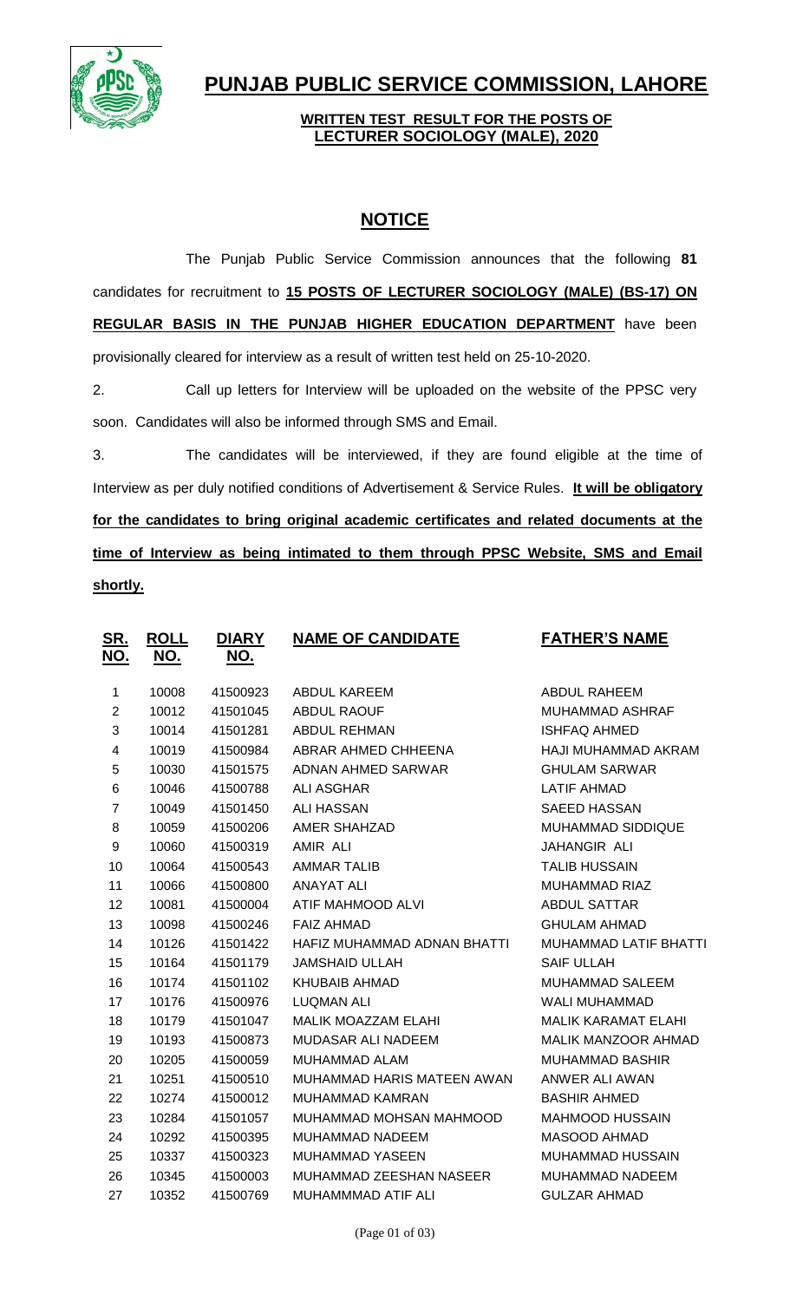

## **PUNJAB PUBLIC SERVICE COMMISSION, LAHORE**

## **WRITTEN TEST RESULT FOR THE POSTS OF LECTURER SOCIOLOGY (MALE), 2020**

## **NOTICE**

The Punjab Public Service Commission announces that the following **81** candidates for recruitment to **15 POSTS OF LECTURER SOCIOLOGY (MALE) (BS-17) ON REGULAR BASIS IN THE PUNJAB HIGHER EDUCATION DEPARTMENT** have been provisionally cleared for interview as a result of written test held on 25-10-2020.

2. Call up letters for Interview will be uploaded on the website of the PPSC very soon. Candidates will also be informed through SMS and Email.

3. The candidates will be interviewed, if they are found eligible at the time of Interview as per duly notified conditions of Advertisement & Service Rules. **It will be obligatory for the candidates to bring original academic certificates and related documents at the time of Interview as being intimated to them through PPSC Website, SMS and Email shortly.**

| <u>SR.</u>     | <b>ROLL</b> | <b>DIARY</b> | <b>NAME OF CANDIDATE</b>    | <b>FATHER'S NAME</b>       |
|----------------|-------------|--------------|-----------------------------|----------------------------|
| <u>NO.</u>     | <u>NO.</u>  | <u>NO.</u>   |                             |                            |
| $\mathbf 1$    | 10008       | 41500923     | <b>ABDUL KAREEM</b>         | <b>ABDUL RAHEEM</b>        |
| $\overline{c}$ | 10012       | 41501045     | <b>ABDUL RAOUF</b>          | MUHAMMAD ASHRAF            |
| 3              | 10014       | 41501281     | <b>ABDUL REHMAN</b>         | <b>ISHFAQ AHMED</b>        |
| 4              | 10019       | 41500984     | ABRAR AHMED CHHEENA         | HAJI MUHAMMAD AKRAM        |
| 5              | 10030       | 41501575     | ADNAN AHMED SARWAR          | <b>GHULAM SARWAR</b>       |
| 6              | 10046       | 41500788     | <b>ALI ASGHAR</b>           | <b>LATIF AHMAD</b>         |
| $\overline{7}$ | 10049       | 41501450     | <b>ALI HASSAN</b>           | <b>SAEED HASSAN</b>        |
| 8              | 10059       | 41500206     | AMER SHAHZAD                | MUHAMMAD SIDDIQUE          |
| 9              | 10060       | 41500319     | AMIR ALI                    | JAHANGIR ALI               |
| 10             | 10064       | 41500543     | <b>AMMAR TALIB</b>          | <b>TALIB HUSSAIN</b>       |
| 11             | 10066       | 41500800     | <b>ANAYAT ALI</b>           | MUHAMMAD RIAZ              |
| 12             | 10081       | 41500004     | ATIF MAHMOOD ALVI           | <b>ABDUL SATTAR</b>        |
| 13             | 10098       | 41500246     | <b>FAIZ AHMAD</b>           | <b>GHULAM AHMAD</b>        |
| 14             | 10126       | 41501422     | HAFIZ MUHAMMAD ADNAN BHATTI | MUHAMMAD LATIF BHATTI      |
| 15             | 10164       | 41501179     | <b>JAMSHAID ULLAH</b>       | <b>SAIF ULLAH</b>          |
| 16             | 10174       | 41501102     | <b>KHUBAIB AHMAD</b>        | <b>MUHAMMAD SALEEM</b>     |
| 17             | 10176       | 41500976     | <b>LUQMAN ALI</b>           | <b>WALI MUHAMMAD</b>       |
| 18             | 10179       | 41501047     | MALIK MOAZZAM ELAHI         | <b>MALIK KARAMAT ELAHI</b> |
| 19             | 10193       | 41500873     | MUDASAR ALI NADEEM          | <b>MALIK MANZOOR AHMAD</b> |
| 20             | 10205       | 41500059     | MUHAMMAD ALAM               | <b>MUHAMMAD BASHIR</b>     |
| 21             | 10251       | 41500510     | MUHAMMAD HARIS MATEEN AWAN  | ANWER ALI AWAN             |
| 22             | 10274       | 41500012     | <b>MUHAMMAD KAMRAN</b>      | <b>BASHIR AHMED</b>        |
| 23             | 10284       | 41501057     | MUHAMMAD MOHSAN MAHMOOD     | <b>MAHMOOD HUSSAIN</b>     |
| 24             | 10292       | 41500395     | <b>MUHAMMAD NADEEM</b>      | <b>MASOOD AHMAD</b>        |
| 25             | 10337       | 41500323     | <b>MUHAMMAD YASEEN</b>      | MUHAMMAD HUSSAIN           |
| 26             | 10345       | 41500003     | MUHAMMAD ZEESHAN NASEER     | MUHAMMAD NADEEM            |
| 27             | 10352       | 41500769     | MUHAMMMAD ATIF ALI          | <b>GULZAR AHMAD</b>        |
|                |             |              |                             |                            |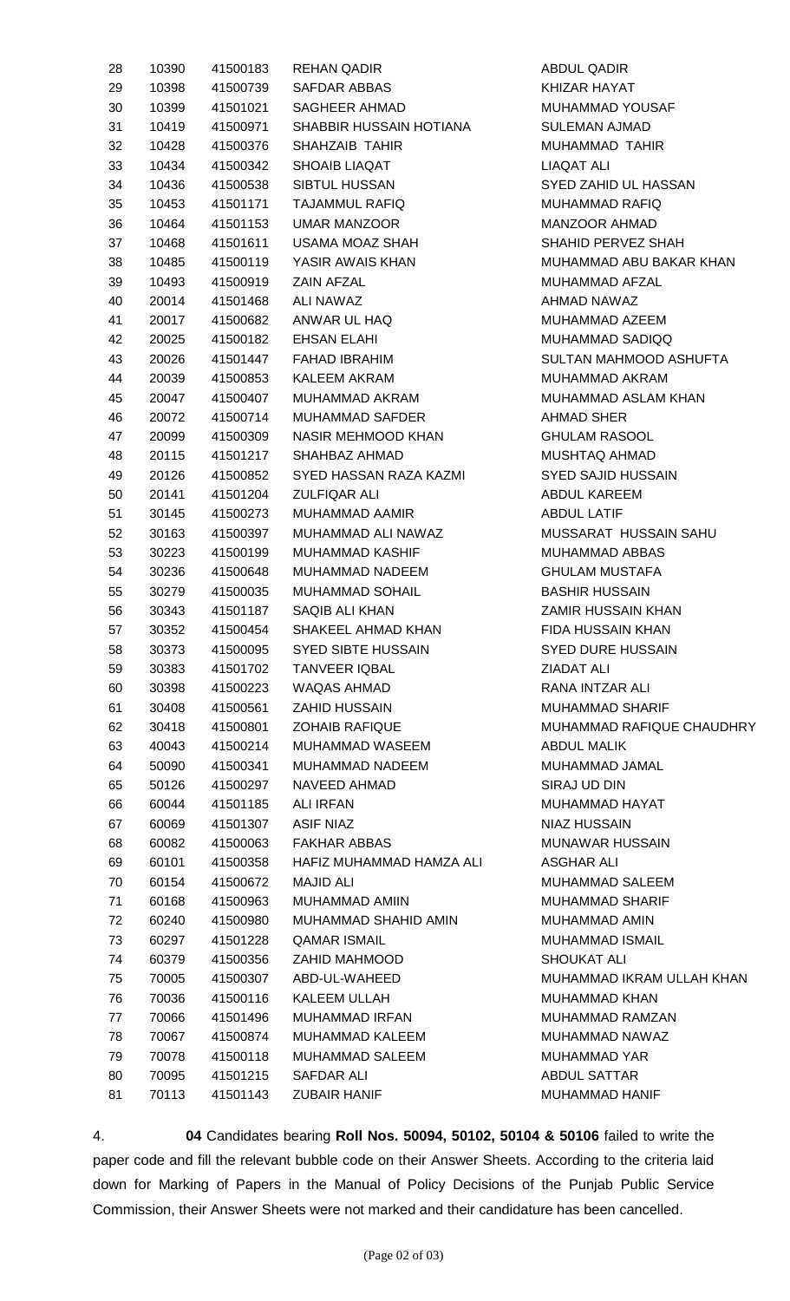| 28 | 10390 | 41500183 | <b>REHAN QADIR</b>        | <b>ABDUL QADIR</b>        |
|----|-------|----------|---------------------------|---------------------------|
| 29 | 10398 | 41500739 | <b>SAFDAR ABBAS</b>       | KHIZAR HAYAT              |
| 30 | 10399 | 41501021 | SAGHEER AHMAD             | MUHAMMAD YOUSAF           |
| 31 | 10419 | 41500971 | SHABBIR HUSSAIN HOTIANA   | <b>SULEMAN AJMAD</b>      |
| 32 | 10428 | 41500376 | SHAHZAIB TAHIR            | MUHAMMAD TAHIR            |
| 33 | 10434 | 41500342 | <b>SHOAIB LIAQAT</b>      | <b>LIAQAT ALI</b>         |
| 34 | 10436 | 41500538 | SIBTUL HUSSAN             | SYED ZAHID UL HASSAN      |
| 35 | 10453 | 41501171 | <b>TAJAMMUL RAFIQ</b>     | <b>MUHAMMAD RAFIQ</b>     |
| 36 | 10464 | 41501153 | <b>UMAR MANZOOR</b>       | MANZOOR AHMAD             |
| 37 | 10468 | 41501611 | USAMA MOAZ SHAH           | SHAHID PERVEZ SHAH        |
| 38 | 10485 | 41500119 | YASIR AWAIS KHAN          | MUHAMMAD ABU BAKAR KHAN   |
| 39 | 10493 | 41500919 | <b>ZAIN AFZAL</b>         | MUHAMMAD AFZAL            |
| 40 | 20014 | 41501468 | ALI NAWAZ                 | AHMAD NAWAZ               |
| 41 | 20017 | 41500682 | ANWAR UL HAQ              | MUHAMMAD AZEEM            |
| 42 | 20025 | 41500182 | EHSAN ELAHI               | MUHAMMAD SADIQQ           |
| 43 | 20026 | 41501447 | <b>FAHAD IBRAHIM</b>      | SULTAN MAHMOOD ASHUFTA    |
| 44 | 20039 | 41500853 | <b>KALEEM AKRAM</b>       | MUHAMMAD AKRAM            |
| 45 | 20047 | 41500407 | MUHAMMAD AKRAM            | MUHAMMAD ASLAM KHAN       |
| 46 | 20072 | 41500714 | <b>MUHAMMAD SAFDER</b>    | <b>AHMAD SHER</b>         |
| 47 | 20099 | 41500309 | NASIR MEHMOOD KHAN        | <b>GHULAM RASOOL</b>      |
| 48 | 20115 | 41501217 | SHAHBAZ AHMAD             | <b>MUSHTAQ AHMAD</b>      |
| 49 | 20126 | 41500852 | SYED HASSAN RAZA KAZMI    | <b>SYED SAJID HUSSAIN</b> |
| 50 | 20141 | 41501204 | ZULFIQAR ALI              | ABDUL KAREEM              |
| 51 | 30145 | 41500273 | MUHAMMAD AAMIR            | <b>ABDUL LATIF</b>        |
| 52 | 30163 | 41500397 | MUHAMMAD ALI NAWAZ        | MUSSARAT HUSSAIN SAHU     |
| 53 | 30223 | 41500199 | MUHAMMAD KASHIF           | MUHAMMAD ABBAS            |
| 54 | 30236 | 41500648 | MUHAMMAD NADEEM           | <b>GHULAM MUSTAFA</b>     |
| 55 | 30279 | 41500035 | MUHAMMAD SOHAIL           | <b>BASHIR HUSSAIN</b>     |
| 56 | 30343 | 41501187 | SAQIB ALI KHAN            | ZAMIR HUSSAIN KHAN        |
| 57 | 30352 | 41500454 | SHAKEEL AHMAD KHAN        | <b>FIDA HUSSAIN KHAN</b>  |
|    |       |          | <b>SYED SIBTE HUSSAIN</b> | <b>SYED DURE HUSSAIN</b>  |
| 58 | 30373 | 41500095 |                           |                           |
| 59 | 30383 | 41501702 | <b>TANVEER IQBAL</b>      | <b>ZIADAT ALI</b>         |
| 60 | 30398 | 41500223 | WAQAS AHMAD               | RANA INTZAR ALI           |
| 61 | 30408 | 41500561 | <b>ZAHID HUSSAIN</b>      | <b>MUHAMMAD SHARIF</b>    |
| 62 | 30418 | 41500801 | <b>ZOHAIB RAFIQUE</b>     | MUHAMMAD RAFIQUE CHAUDHRY |
| 63 | 40043 | 41500214 | MUHAMMAD WASEEM           | <b>ABDUL MALIK</b>        |
| 64 | 50090 | 41500341 | MUHAMMAD NADEEM           | MUHAMMAD JAMAL            |
| 65 | 50126 | 41500297 | <b>NAVEED AHMAD</b>       | SIRAJ UD DIN              |
| 66 | 60044 | 41501185 | <b>ALI IRFAN</b>          | MUHAMMAD HAYAT            |
| 67 | 60069 | 41501307 | ASIF NIAZ                 | <b>NIAZ HUSSAIN</b>       |
| 68 | 60082 | 41500063 | <b>FAKHAR ABBAS</b>       | <b>MUNAWAR HUSSAIN</b>    |
| 69 | 60101 | 41500358 | HAFIZ MUHAMMAD HAMZA ALI  | <b>ASGHAR ALI</b>         |
| 70 | 60154 | 41500672 | <b>MAJID ALI</b>          | MUHAMMAD SALEEM           |
| 71 | 60168 | 41500963 | MUHAMMAD AMIIN            | <b>MUHAMMAD SHARIF</b>    |
| 72 | 60240 | 41500980 | MUHAMMAD SHAHID AMIN      | MUHAMMAD AMIN             |
| 73 | 60297 | 41501228 | <b>QAMAR ISMAIL</b>       | MUHAMMAD ISMAIL           |
| 74 | 60379 | 41500356 | ZAHID MAHMOOD             | <b>SHOUKAT ALI</b>        |
| 75 | 70005 | 41500307 | ABD-UL-WAHEED             | MUHAMMAD IKRAM ULLAH KHAN |
| 76 | 70036 | 41500116 | KALEEM ULLAH              | <b>MUHAMMAD KHAN</b>      |
| 77 | 70066 | 41501496 | <b>MUHAMMAD IRFAN</b>     | MUHAMMAD RAMZAN           |
| 78 | 70067 | 41500874 | MUHAMMAD KALEEM           | MUHAMMAD NAWAZ            |
| 79 | 70078 | 41500118 | <b>MUHAMMAD SALEEM</b>    | <b>MUHAMMAD YAR</b>       |
| 80 | 70095 | 41501215 | SAFDAR ALI                | <b>ABDUL SATTAR</b>       |
| 81 | 70113 | 41501143 | <b>ZUBAIR HANIF</b>       | MUHAMMAD HANIF            |
|    |       |          |                           |                           |

4. **04** Candidates bearing **Roll Nos. 50094, 50102, 50104 & 50106** failed to write the paper code and fill the relevant bubble code on their Answer Sheets. According to the criteria laid down for Marking of Papers in the Manual of Policy Decisions of the Punjab Public Service Commission, their Answer Sheets were not marked and their candidature has been cancelled.